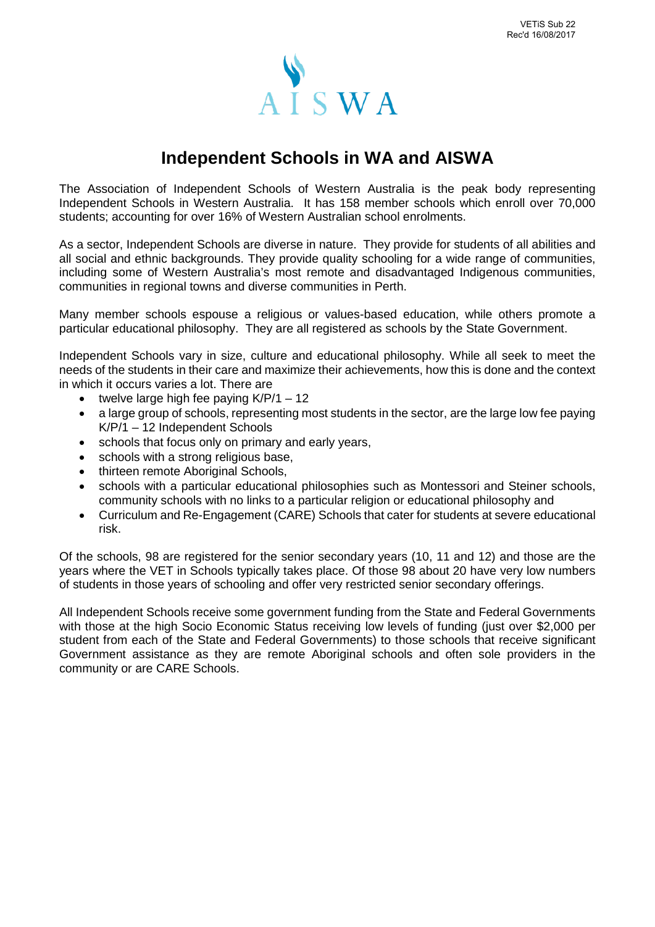

# **Independent Schools in WA and AISWA**

The Association of Independent Schools of Western Australia is the peak body representing Independent Schools in Western Australia. It has 158 member schools which enroll over 70,000 students; accounting for over 16% of Western Australian school enrolments.

As a sector, Independent Schools are diverse in nature. They provide for students of all abilities and all social and ethnic backgrounds. They provide quality schooling for a wide range of communities, including some of Western Australia's most remote and disadvantaged Indigenous communities, communities in regional towns and diverse communities in Perth.

Many member schools espouse a religious or values-based education, while others promote a particular educational philosophy. They are all registered as schools by the State Government.

Independent Schools vary in size, culture and educational philosophy. While all seek to meet the needs of the students in their care and maximize their achievements, how this is done and the context in which it occurs varies a lot. There are

- twelve large high fee paying  $K/P/1 12$
- a large group of schools, representing most students in the sector, are the large low fee paying K/P/1 – 12 Independent Schools
- schools that focus only on primary and early years,
- schools with a strong religious base,
- thirteen remote Aboriginal Schools,
- schools with a particular educational philosophies such as Montessori and Steiner schools, community schools with no links to a particular religion or educational philosophy and
- Curriculum and Re-Engagement (CARE) Schools that cater for students at severe educational risk.

Of the schools, 98 are registered for the senior secondary years (10, 11 and 12) and those are the years where the VET in Schools typically takes place. Of those 98 about 20 have very low numbers of students in those years of schooling and offer very restricted senior secondary offerings.

All Independent Schools receive some government funding from the State and Federal Governments with those at the high Socio Economic Status receiving low levels of funding (just over \$2,000 per student from each of the State and Federal Governments) to those schools that receive significant Government assistance as they are remote Aboriginal schools and often sole providers in the community or are CARE Schools.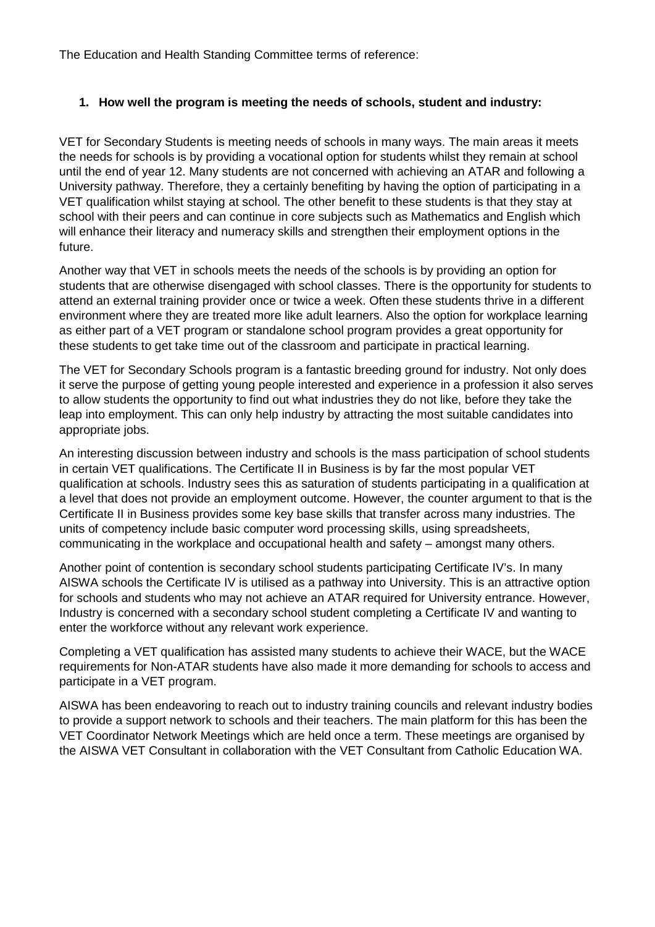The Education and Health Standing Committee terms of reference:

## **1. How well the program is meeting the needs of schools, student and industry:**

VET for Secondary Students is meeting needs of schools in many ways. The main areas it meets the needs for schools is by providing a vocational option for students whilst they remain at school until the end of year 12. Many students are not concerned with achieving an ATAR and following a University pathway. Therefore, they a certainly benefiting by having the option of participating in a VET qualification whilst staying at school. The other benefit to these students is that they stay at school with their peers and can continue in core subjects such as Mathematics and English which will enhance their literacy and numeracy skills and strengthen their employment options in the future.

Another way that VET in schools meets the needs of the schools is by providing an option for students that are otherwise disengaged with school classes. There is the opportunity for students to attend an external training provider once or twice a week. Often these students thrive in a different environment where they are treated more like adult learners. Also the option for workplace learning as either part of a VET program or standalone school program provides a great opportunity for these students to get take time out of the classroom and participate in practical learning.

The VET for Secondary Schools program is a fantastic breeding ground for industry. Not only does it serve the purpose of getting young people interested and experience in a profession it also serves to allow students the opportunity to find out what industries they do not like, before they take the leap into employment. This can only help industry by attracting the most suitable candidates into appropriate jobs.

An interesting discussion between industry and schools is the mass participation of school students in certain VET qualifications. The Certificate II in Business is by far the most popular VET qualification at schools. Industry sees this as saturation of students participating in a qualification at a level that does not provide an employment outcome. However, the counter argument to that is the Certificate II in Business provides some key base skills that transfer across many industries. The units of competency include basic computer word processing skills, using spreadsheets, communicating in the workplace and occupational health and safety – amongst many others.

Another point of contention is secondary school students participating Certificate IV's. In many AISWA schools the Certificate IV is utilised as a pathway into University. This is an attractive option for schools and students who may not achieve an ATAR required for University entrance. However, Industry is concerned with a secondary school student completing a Certificate IV and wanting to enter the workforce without any relevant work experience.

Completing a VET qualification has assisted many students to achieve their WACE, but the WACE requirements for Non-ATAR students have also made it more demanding for schools to access and participate in a VET program.

AISWA has been endeavoring to reach out to industry training councils and relevant industry bodies to provide a support network to schools and their teachers. The main platform for this has been the VET Coordinator Network Meetings which are held once a term. These meetings are organised by the AISWA VET Consultant in collaboration with the VET Consultant from Catholic Education WA.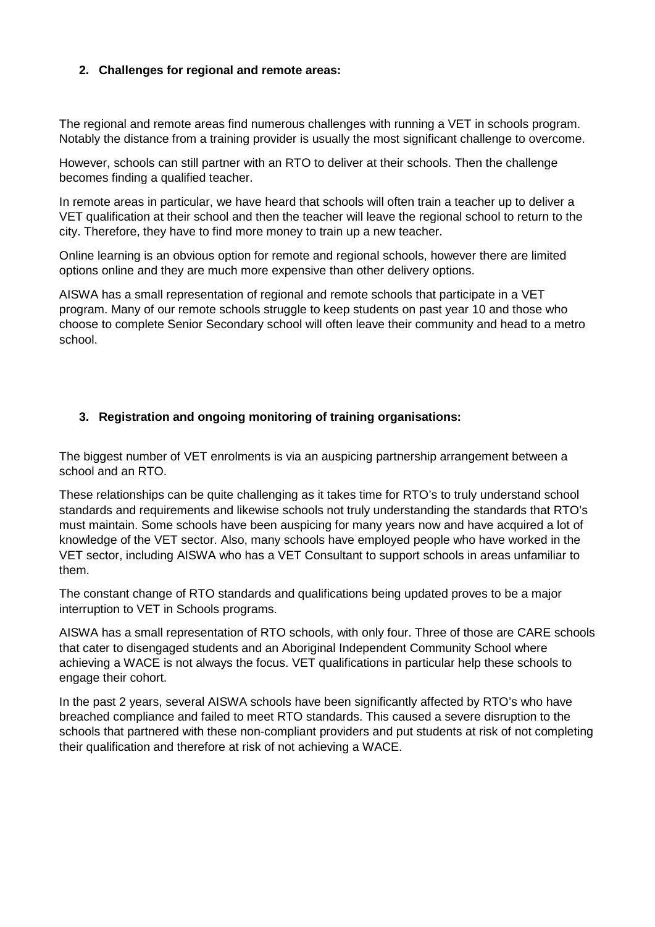## **2. Challenges for regional and remote areas:**

The regional and remote areas find numerous challenges with running a VET in schools program. Notably the distance from a training provider is usually the most significant challenge to overcome.

However, schools can still partner with an RTO to deliver at their schools. Then the challenge becomes finding a qualified teacher.

In remote areas in particular, we have heard that schools will often train a teacher up to deliver a VET qualification at their school and then the teacher will leave the regional school to return to the city. Therefore, they have to find more money to train up a new teacher.

Online learning is an obvious option for remote and regional schools, however there are limited options online and they are much more expensive than other delivery options.

AISWA has a small representation of regional and remote schools that participate in a VET program. Many of our remote schools struggle to keep students on past year 10 and those who choose to complete Senior Secondary school will often leave their community and head to a metro school.

#### **3. Registration and ongoing monitoring of training organisations:**

The biggest number of VET enrolments is via an auspicing partnership arrangement between a school and an RTO.

These relationships can be quite challenging as it takes time for RTO's to truly understand school standards and requirements and likewise schools not truly understanding the standards that RTO's must maintain. Some schools have been auspicing for many years now and have acquired a lot of knowledge of the VET sector. Also, many schools have employed people who have worked in the VET sector, including AISWA who has a VET Consultant to support schools in areas unfamiliar to them.

The constant change of RTO standards and qualifications being updated proves to be a major interruption to VET in Schools programs.

AISWA has a small representation of RTO schools, with only four. Three of those are CARE schools that cater to disengaged students and an Aboriginal Independent Community School where achieving a WACE is not always the focus. VET qualifications in particular help these schools to engage their cohort.

In the past 2 years, several AISWA schools have been significantly affected by RTO's who have breached compliance and failed to meet RTO standards. This caused a severe disruption to the schools that partnered with these non-compliant providers and put students at risk of not completing their qualification and therefore at risk of not achieving a WACE.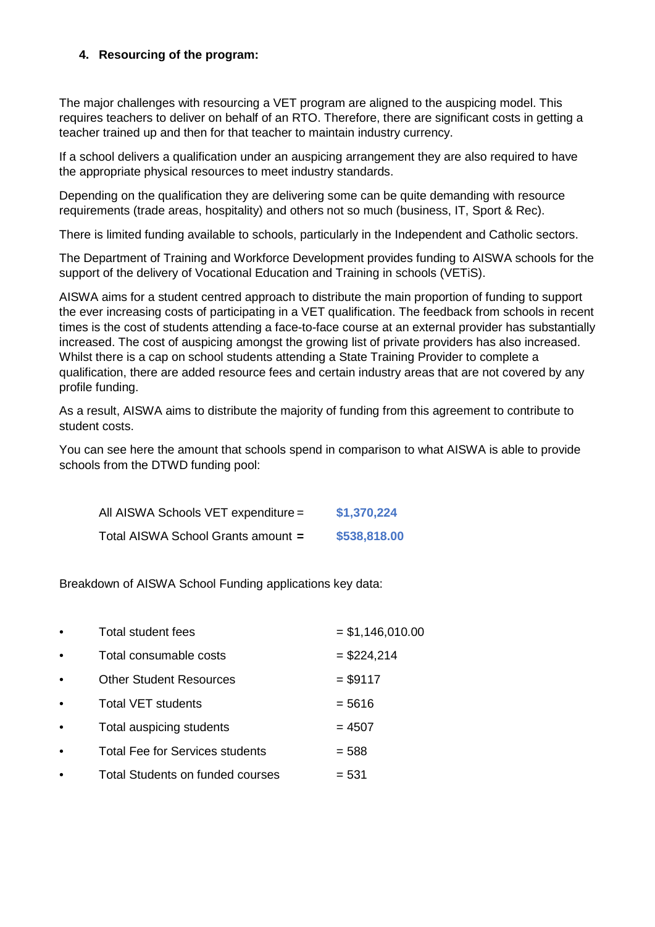## **4. Resourcing of the program:**

The major challenges with resourcing a VET program are aligned to the auspicing model. This requires teachers to deliver on behalf of an RTO. Therefore, there are significant costs in getting a teacher trained up and then for that teacher to maintain industry currency.

If a school delivers a qualification under an auspicing arrangement they are also required to have the appropriate physical resources to meet industry standards.

Depending on the qualification they are delivering some can be quite demanding with resource requirements (trade areas, hospitality) and others not so much (business, IT, Sport & Rec).

There is limited funding available to schools, particularly in the Independent and Catholic sectors.

The Department of Training and Workforce Development provides funding to AISWA schools for the support of the delivery of Vocational Education and Training in schools (VETiS).

AISWA aims for a student centred approach to distribute the main proportion of funding to support the ever increasing costs of participating in a VET qualification. The feedback from schools in recent times is the cost of students attending a face-to-face course at an external provider has substantially increased. The cost of auspicing amongst the growing list of private providers has also increased. Whilst there is a cap on school students attending a State Training Provider to complete a qualification, there are added resource fees and certain industry areas that are not covered by any profile funding.

As a result, AISWA aims to distribute the majority of funding from this agreement to contribute to student costs.

You can see here the amount that schools spend in comparison to what AISWA is able to provide schools from the DTWD funding pool:

| All AISWA Schools VET expenditure = | \$1,370,224  |
|-------------------------------------|--------------|
| Total AISWA School Grants amount =  | \$538,818.00 |

Breakdown of AISWA School Funding applications key data:

| $\bullet$ | Total student fees                     | $=$ \$1,146,010.00 |
|-----------|----------------------------------------|--------------------|
| $\bullet$ | Total consumable costs                 | $= $224,214$       |
| $\bullet$ | <b>Other Student Resources</b>         | $= $9117$          |
| $\bullet$ | <b>Total VET students</b>              | $= 5616$           |
| $\bullet$ | Total auspicing students               | $= 4507$           |
|           | <b>Total Fee for Services students</b> | $= 588$            |
|           | Total Students on funded courses       | $= 531$            |